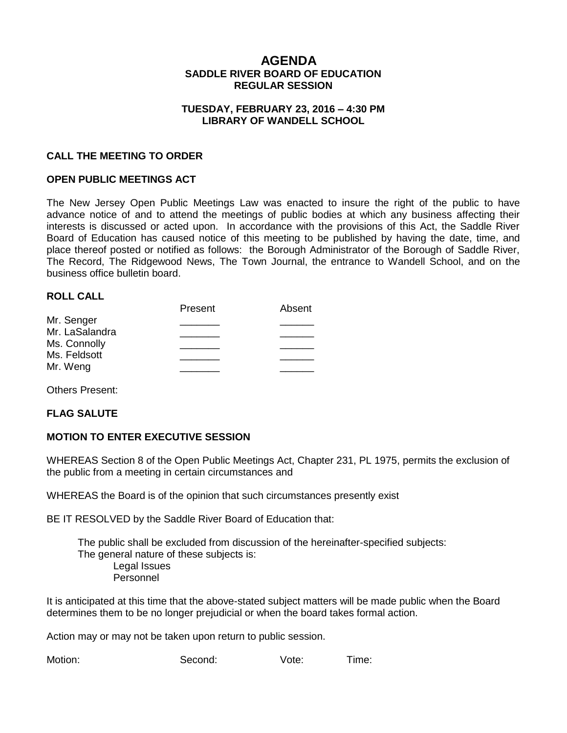# **AGENDA SADDLE RIVER BOARD OF EDUCATION REGULAR SESSION**

### **TUESDAY, FEBRUARY 23, 2016 – 4:30 PM LIBRARY OF WANDELL SCHOOL**

### **CALL THE MEETING TO ORDER**

## **OPEN PUBLIC MEETINGS ACT**

The New Jersey Open Public Meetings Law was enacted to insure the right of the public to have advance notice of and to attend the meetings of public bodies at which any business affecting their interests is discussed or acted upon. In accordance with the provisions of this Act, the Saddle River Board of Education has caused notice of this meeting to be published by having the date, time, and place thereof posted or notified as follows: the Borough Administrator of the Borough of Saddle River, The Record, The Ridgewood News, The Town Journal, the entrance to Wandell School, and on the business office bulletin board.

### **ROLL CALL**

|                | Present | Absent |
|----------------|---------|--------|
| Mr. Senger     |         |        |
| Mr. LaSalandra |         |        |
| Ms. Connolly   |         |        |
| Ms. Feldsott   |         |        |
| Mr. Weng       |         |        |
|                |         |        |

Others Present:

#### **FLAG SALUTE**

#### **MOTION TO ENTER EXECUTIVE SESSION**

WHEREAS Section 8 of the Open Public Meetings Act, Chapter 231, PL 1975, permits the exclusion of the public from a meeting in certain circumstances and

WHEREAS the Board is of the opinion that such circumstances presently exist

BE IT RESOLVED by the Saddle River Board of Education that:

 The public shall be excluded from discussion of the hereinafter-specified subjects: The general nature of these subjects is: Legal Issues Personnel

It is anticipated at this time that the above-stated subject matters will be made public when the Board determines them to be no longer prejudicial or when the board takes formal action.

Action may or may not be taken upon return to public session.

Motion: Second: Vote: Time: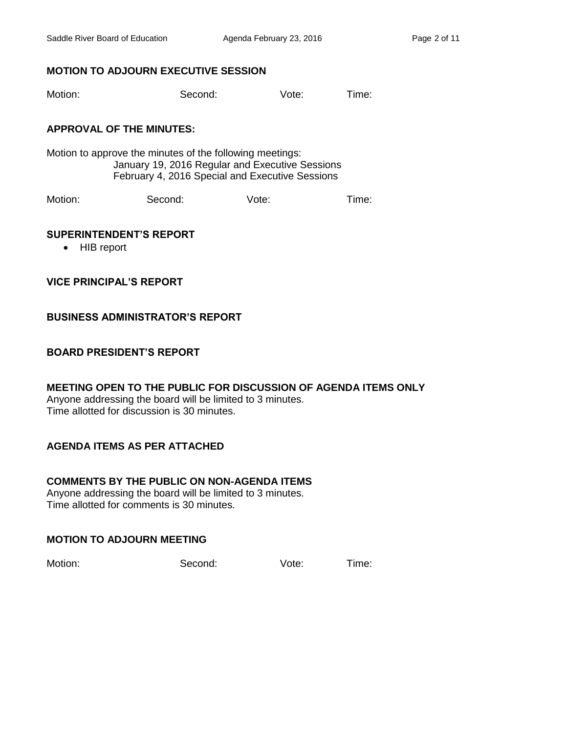# **MOTION TO ADJOURN EXECUTIVE SESSION**

Motion: Second: Vote: Time:

# **APPROVAL OF THE MINUTES:**

Motion to approve the minutes of the following meetings: January 19, 2016 Regular and Executive Sessions February 4, 2016 Special and Executive Sessions

Motion: Second: Vote: Time:

### **SUPERINTENDENT'S REPORT**

• HIB report

**VICE PRINCIPAL'S REPORT**

# **BUSINESS ADMINISTRATOR'S REPORT**

# **BOARD PRESIDENT'S REPORT**

**MEETING OPEN TO THE PUBLIC FOR DISCUSSION OF AGENDA ITEMS ONLY** Anyone addressing the board will be limited to 3 minutes. Time allotted for discussion is 30 minutes.

# **AGENDA ITEMS AS PER ATTACHED**

# **COMMENTS BY THE PUBLIC ON NON-AGENDA ITEMS**

Anyone addressing the board will be limited to 3 minutes. Time allotted for comments is 30 minutes.

# **MOTION TO ADJOURN MEETING**

Motion: Second: Vote: Time: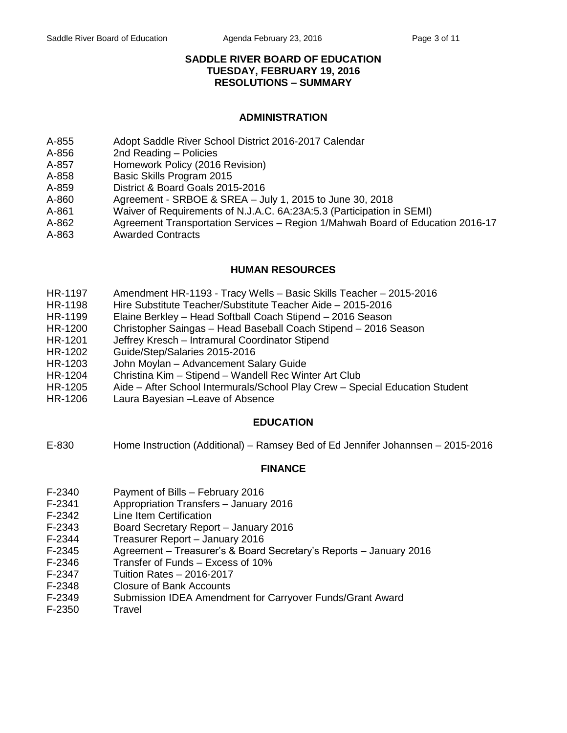## **SADDLE RIVER BOARD OF EDUCATION TUESDAY, FEBRUARY 19, 2016 RESOLUTIONS – SUMMARY**

## **ADMINISTRATION**

- A-855 Adopt Saddle River School District 2016-2017 Calendar
- A-856 2nd Reading Policies
- A-857 Homework Policy (2016 Revision)
- A-858 Basic Skills Program 2015
- A-859 District & Board Goals 2015-2016
- A-860 Agreement SRBOE & SREA July 1, 2015 to June 30, 2018
- A-861 Waiver of Requirements of N.J.A.C. 6A:23A:5.3 (Participation in SEMI)
- A-862 Agreement Transportation Services Region 1/Mahwah Board of Education 2016-17
- A-863 Awarded Contracts

# **HUMAN RESOURCES**

- HR-1197 Amendment HR-1193 Tracy Wells Basic Skills Teacher 2015-2016
- HR-1198 Hire Substitute Teacher/Substitute Teacher Aide 2015-2016
- HR-1199 Elaine Berkley Head Softball Coach Stipend 2016 Season
- HR-1200 Christopher Saingas Head Baseball Coach Stipend 2016 Season
- HR-1201 Jeffrey Kresch Intramural Coordinator Stipend
- HR-1202 Guide/Step/Salaries 2015-2016
- HR-1203 John Moylan Advancement Salary Guide
- HR-1204 Christina Kim Stipend Wandell Rec Winter Art Club
- HR-1205 Aide After School Intermurals/School Play Crew Special Education Student
- HR-1206 Laura Bayesian –Leave of Absence

# **EDUCATION**

E-830 Home Instruction (Additional) – Ramsey Bed of Ed Jennifer Johannsen – 2015-2016

# **FINANCE**

- F-2340 Payment of Bills February 2016
- F-2341 Appropriation Transfers January 2016
- F-2342 Line Item Certification
- F-2343 Board Secretary Report January 2016
- F-2344 Treasurer Report January 2016
- F-2345 Agreement Treasurer's & Board Secretary's Reports January 2016
- F-2346 Transfer of Funds Excess of 10%
- F-2347 Tuition Rates 2016-2017
- F-2348 Closure of Bank Accounts
- F-2349 Submission IDEA Amendment for Carryover Funds/Grant Award
- F-2350 Travel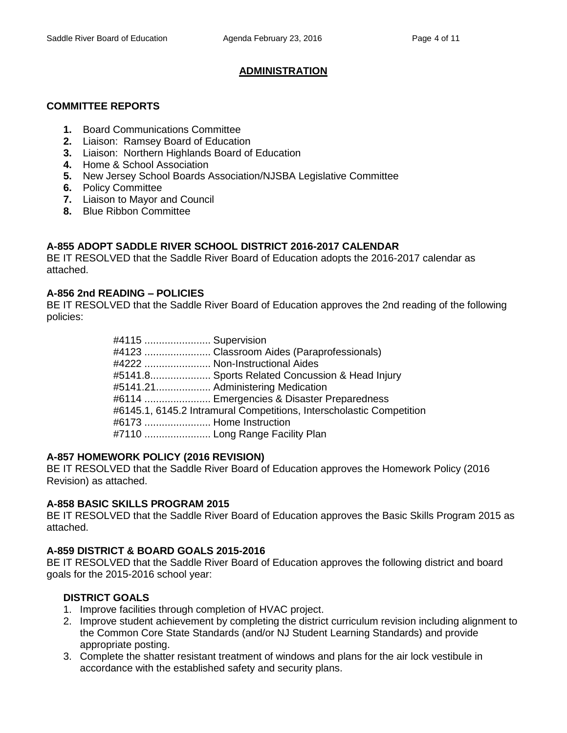# **ADMINISTRATION**

## **COMMITTEE REPORTS**

- **1.** Board Communications Committee
- **2.** Liaison: Ramsey Board of Education
- **3.** Liaison: Northern Highlands Board of Education
- **4.** Home & School Association
- **5.** New Jersey School Boards Association/NJSBA Legislative Committee
- **6.** Policy Committee
- **7.** Liaison to Mayor and Council
- **8.** Blue Ribbon Committee

# **A-855 ADOPT SADDLE RIVER SCHOOL DISTRICT 2016-2017 CALENDAR**

BE IT RESOLVED that the Saddle River Board of Education adopts the 2016-2017 calendar as attached.

## **A-856 2nd READING – POLICIES**

BE IT RESOLVED that the Saddle River Board of Education approves the 2nd reading of the following policies:

| #4115  Supervision |                                                                      |
|--------------------|----------------------------------------------------------------------|
|                    | #4123  Classroom Aides (Paraprofessionals)                           |
|                    | #4222  Non-Instructional Aides                                       |
|                    | #5141.8 Sports Related Concussion & Head Injury                      |
|                    | #5141.21 Administering Medication                                    |
|                    | #6114  Emergencies & Disaster Preparedness                           |
|                    | #6145.1, 6145.2 Intramural Competitions, Interscholastic Competition |
|                    | #6173  Home Instruction                                              |
|                    | #7110  Long Range Facility Plan                                      |

#### **A-857 HOMEWORK POLICY (2016 REVISION)**

BE IT RESOLVED that the Saddle River Board of Education approves the Homework Policy (2016 Revision) as attached.

# **A-858 BASIC SKILLS PROGRAM 2015**

BE IT RESOLVED that the Saddle River Board of Education approves the Basic Skills Program 2015 as attached.

# **A-859 DISTRICT & BOARD GOALS 2015-2016**

BE IT RESOLVED that the Saddle River Board of Education approves the following district and board goals for the 2015-2016 school year:

# **DISTRICT GOALS**

- 1. Improve facilities through completion of HVAC project.
- 2. Improve student achievement by completing the district curriculum revision including alignment to the Common Core State Standards (and/or NJ Student Learning Standards) and provide appropriate posting.
- 3. Complete the shatter resistant treatment of windows and plans for the air lock vestibule in accordance with the established safety and security plans.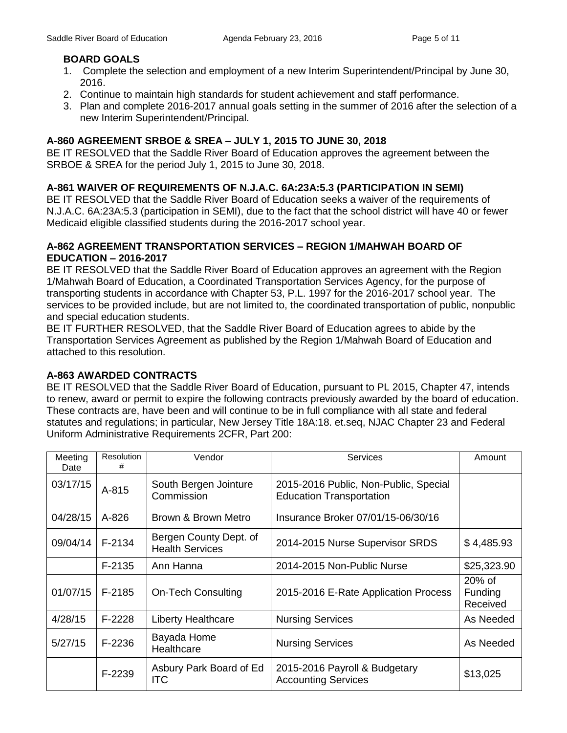# **BOARD GOALS**

- 1. Complete the selection and employment of a new Interim Superintendent/Principal by June 30, 2016.
- 2. Continue to maintain high standards for student achievement and staff performance.
- 3. Plan and complete 2016-2017 annual goals setting in the summer of 2016 after the selection of a new Interim Superintendent/Principal.

# **A-860 AGREEMENT SRBOE & SREA – JULY 1, 2015 TO JUNE 30, 2018**

BE IT RESOLVED that the Saddle River Board of Education approves the agreement between the SRBOE & SREA for the period July 1, 2015 to June 30, 2018.

# **A-861 WAIVER OF REQUIREMENTS OF N.J.A.C. 6A:23A:5.3 (PARTICIPATION IN SEMI)**

BE IT RESOLVED that the Saddle River Board of Education seeks a waiver of the requirements of N.J.A.C. 6A:23A:5.3 (participation in SEMI), due to the fact that the school district will have 40 or fewer Medicaid eligible classified students during the 2016-2017 school year.

## **A-862 AGREEMENT TRANSPORTATION SERVICES – REGION 1/MAHWAH BOARD OF EDUCATION – 2016-2017**

BE IT RESOLVED that the Saddle River Board of Education approves an agreement with the Region 1/Mahwah Board of Education, a Coordinated Transportation Services Agency, for the purpose of transporting students in accordance with Chapter 53, P.L. 1997 for the 2016-2017 school year. The services to be provided include, but are not limited to, the coordinated transportation of public, nonpublic and special education students.

BE IT FURTHER RESOLVED, that the Saddle River Board of Education agrees to abide by the Transportation Services Agreement as published by the Region 1/Mahwah Board of Education and attached to this resolution.

# **A-863 AWARDED CONTRACTS**

BE IT RESOLVED that the Saddle River Board of Education, pursuant to PL 2015, Chapter 47, intends to renew, award or permit to expire the following contracts previously awarded by the board of education. These contracts are, have been and will continue to be in full compliance with all state and federal statutes and regulations; in particular, New Jersey Title 18A:18. et.seq, NJAC Chapter 23 and Federal Uniform Administrative Requirements 2CFR, Part 200:

| Meeting<br>Date | <b>Resolution</b><br># | Vendor                                           | <b>Services</b>                                                          | Amount                           |
|-----------------|------------------------|--------------------------------------------------|--------------------------------------------------------------------------|----------------------------------|
| 03/17/15        | A-815                  | South Bergen Jointure<br>Commission              | 2015-2016 Public, Non-Public, Special<br><b>Education Transportation</b> |                                  |
| 04/28/15        | $A - 826$              | Brown & Brown Metro                              | Insurance Broker 07/01/15-06/30/16                                       |                                  |
| 09/04/14        | $F-2134$               | Bergen County Dept. of<br><b>Health Services</b> | 2014-2015 Nurse Supervisor SRDS                                          | \$4,485.93                       |
|                 | $F-2135$               | Ann Hanna                                        | 2014-2015 Non-Public Nurse                                               | \$25,323.90                      |
| 01/07/15        | $F-2185$               | <b>On-Tech Consulting</b>                        | 2015-2016 E-Rate Application Process                                     | $20\%$ of<br>Funding<br>Received |
| 4/28/15         | $F-2228$               | <b>Liberty Healthcare</b>                        | <b>Nursing Services</b>                                                  | As Needed                        |
| 5/27/15         | F-2236                 | Bayada Home<br>Healthcare                        | <b>Nursing Services</b>                                                  | As Needed                        |
|                 | F-2239                 | Asbury Park Board of Ed<br><b>ITC</b>            | 2015-2016 Payroll & Budgetary<br><b>Accounting Services</b>              | \$13,025                         |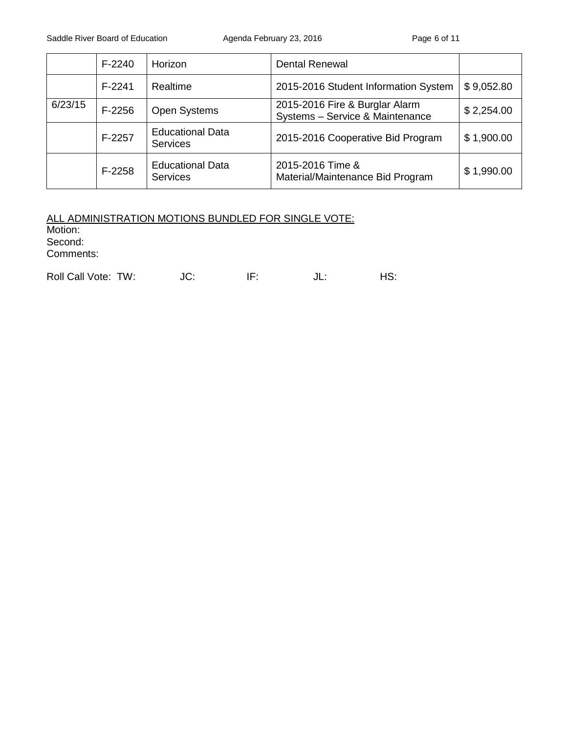|         | $F-2240$ | Horizon                                    | <b>Dental Renewal</b>                                             |            |
|---------|----------|--------------------------------------------|-------------------------------------------------------------------|------------|
|         | $F-2241$ | Realtime                                   | 2015-2016 Student Information System                              | \$9,052.80 |
| 6/23/15 | $F-2256$ | <b>Open Systems</b>                        | 2015-2016 Fire & Burglar Alarm<br>Systems - Service & Maintenance | \$2,254.00 |
|         | F-2257   | <b>Educational Data</b><br><b>Services</b> | 2015-2016 Cooperative Bid Program                                 | \$1,900.00 |
|         | $F-2258$ | <b>Educational Data</b><br><b>Services</b> | 2015-2016 Time &<br>Material/Maintenance Bid Program              | \$1,990.00 |

## ALL ADMINISTRATION MOTIONS BUNDLED FOR SINGLE VOTE: Motion: Second: Comments:

| Roll Call Vote: TW: | JC: | JL. | HS: |
|---------------------|-----|-----|-----|
|                     |     |     |     |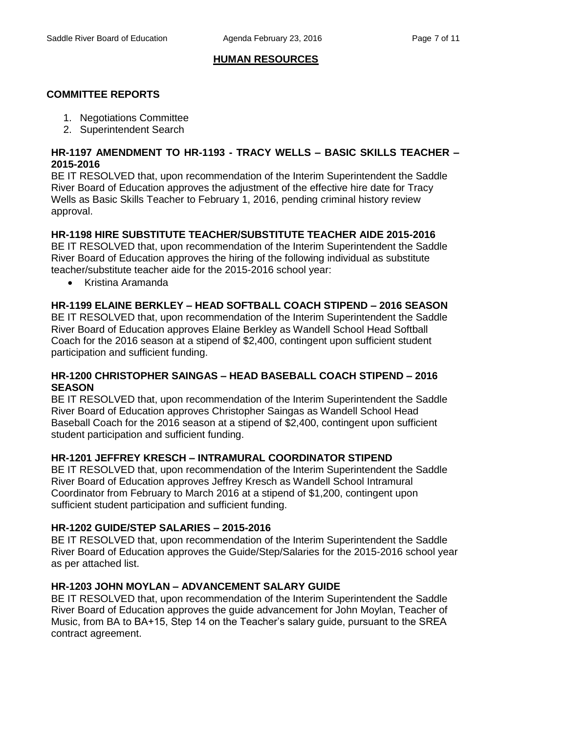# **HUMAN RESOURCES**

# **COMMITTEE REPORTS**

- 1. Negotiations Committee
- 2. Superintendent Search

## **HR-1197 AMENDMENT TO HR-1193 - TRACY WELLS – BASIC SKILLS TEACHER – 2015-2016**

BE IT RESOLVED that, upon recommendation of the Interim Superintendent the Saddle River Board of Education approves the adjustment of the effective hire date for Tracy Wells as Basic Skills Teacher to February 1, 2016, pending criminal history review approval.

# **HR-1198 HIRE SUBSTITUTE TEACHER/SUBSTITUTE TEACHER AIDE 2015-2016**

BE IT RESOLVED that, upon recommendation of the Interim Superintendent the Saddle River Board of Education approves the hiring of the following individual as substitute teacher/substitute teacher aide for the 2015-2016 school year:

• Kristina Aramanda

# **HR-1199 ELAINE BERKLEY – HEAD SOFTBALL COACH STIPEND – 2016 SEASON**

BE IT RESOLVED that, upon recommendation of the Interim Superintendent the Saddle River Board of Education approves Elaine Berkley as Wandell School Head Softball Coach for the 2016 season at a stipend of \$2,400, contingent upon sufficient student participation and sufficient funding.

## **HR-1200 CHRISTOPHER SAINGAS – HEAD BASEBALL COACH STIPEND – 2016 SEASON**

BE IT RESOLVED that, upon recommendation of the Interim Superintendent the Saddle River Board of Education approves Christopher Saingas as Wandell School Head Baseball Coach for the 2016 season at a stipend of \$2,400, contingent upon sufficient student participation and sufficient funding.

# **HR-1201 JEFFREY KRESCH – INTRAMURAL COORDINATOR STIPEND**

BE IT RESOLVED that, upon recommendation of the Interim Superintendent the Saddle River Board of Education approves Jeffrey Kresch as Wandell School Intramural Coordinator from February to March 2016 at a stipend of \$1,200, contingent upon sufficient student participation and sufficient funding.

#### **HR-1202 GUIDE/STEP SALARIES – 2015-2016**

BE IT RESOLVED that, upon recommendation of the Interim Superintendent the Saddle River Board of Education approves the Guide/Step/Salaries for the 2015-2016 school year as per attached list.

# **HR-1203 JOHN MOYLAN – ADVANCEMENT SALARY GUIDE**

BE IT RESOLVED that, upon recommendation of the Interim Superintendent the Saddle River Board of Education approves the guide advancement for John Moylan, Teacher of Music, from BA to BA+15, Step 14 on the Teacher's salary guide, pursuant to the SREA contract agreement.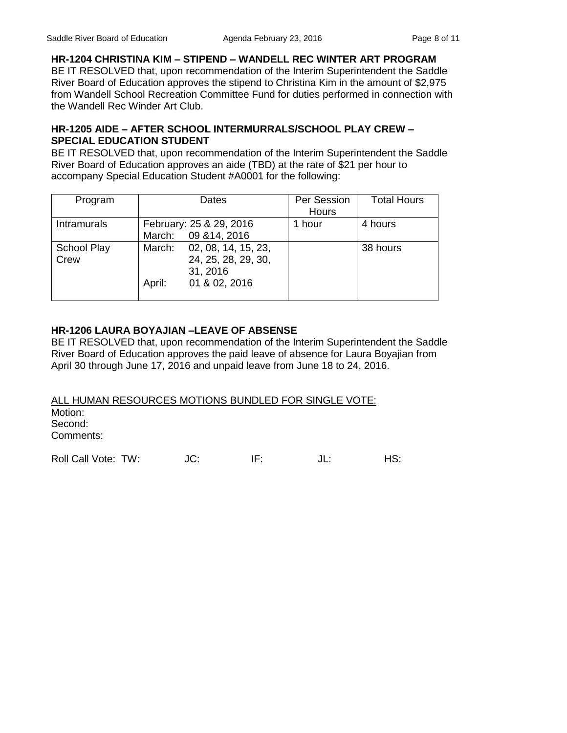**HR-1204 CHRISTINA KIM – STIPEND – WANDELL REC WINTER ART PROGRAM**  BE IT RESOLVED that, upon recommendation of the Interim Superintendent the Saddle River Board of Education approves the stipend to Christina Kim in the amount of \$2,975 from Wandell School Recreation Committee Fund for duties performed in connection with the Wandell Rec Winder Art Club.

# **HR-1205 AIDE – AFTER SCHOOL INTERMURRALS/SCHOOL PLAY CREW – SPECIAL EDUCATION STUDENT**

BE IT RESOLVED that, upon recommendation of the Interim Superintendent the Saddle River Board of Education approves an aide (TBD) at the rate of \$21 per hour to accompany Special Education Student #A0001 for the following:

| Program             | Dates                                                                                       | Per Session<br>Hours | <b>Total Hours</b> |
|---------------------|---------------------------------------------------------------------------------------------|----------------------|--------------------|
|                     |                                                                                             |                      |                    |
| <b>Intramurals</b>  | February: 25 & 29, 2016                                                                     | 1 hour               | 4 hours            |
|                     | March: 09 & 14, 2016                                                                        |                      |                    |
| School Play<br>Crew | March:<br>02, 08, 14, 15, 23,<br>24, 25, 28, 29, 30,<br>31, 2016<br>01 & 02, 2016<br>April: |                      | 38 hours           |

# **HR-1206 LAURA BOYAJIAN –LEAVE OF ABSENSE**

BE IT RESOLVED that, upon recommendation of the Interim Superintendent the Saddle River Board of Education approves the paid leave of absence for Laura Boyajian from April 30 through June 17, 2016 and unpaid leave from June 18 to 24, 2016.

ALL HUMAN RESOURCES MOTIONS BUNDLED FOR SINGLE VOTE: Motion: Second: Comments:

Roll Call Vote: TW:  $JC:$  IF:  $JL:$  HS: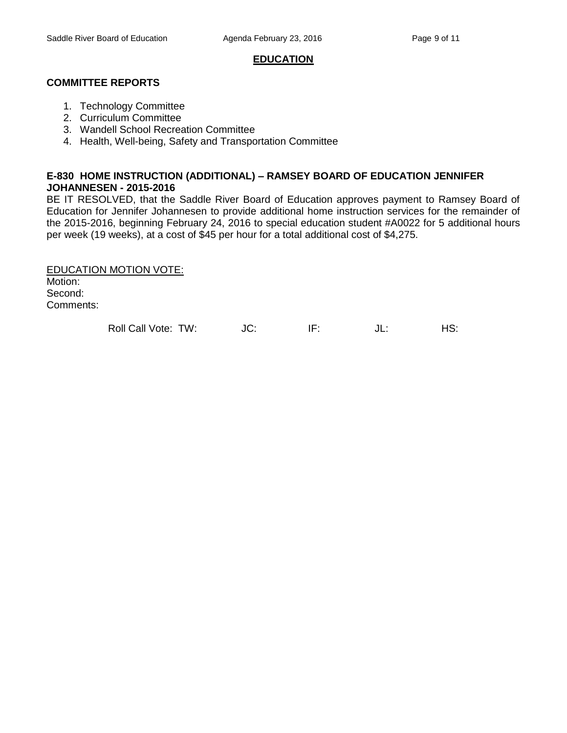### **EDUCATION**

### **COMMITTEE REPORTS**

- 1. Technology Committee
- 2. Curriculum Committee
- 3. Wandell School Recreation Committee
- 4. Health, Well-being, Safety and Transportation Committee

# **E-830 HOME INSTRUCTION (ADDITIONAL) – RAMSEY BOARD OF EDUCATION JENNIFER JOHANNESEN - 2015-2016**

BE IT RESOLVED, that the Saddle River Board of Education approves payment to Ramsey Board of Education for Jennifer Johannesen to provide additional home instruction services for the remainder of the 2015-2016, beginning February 24, 2016 to special education student #A0022 for 5 additional hours per week (19 weeks), at a cost of \$45 per hour for a total additional cost of \$4,275.

EDUCATION MOTION VOTE: Motion: Second: Comments:

Roll Call Vote: TW: JC: IF: JL: HS: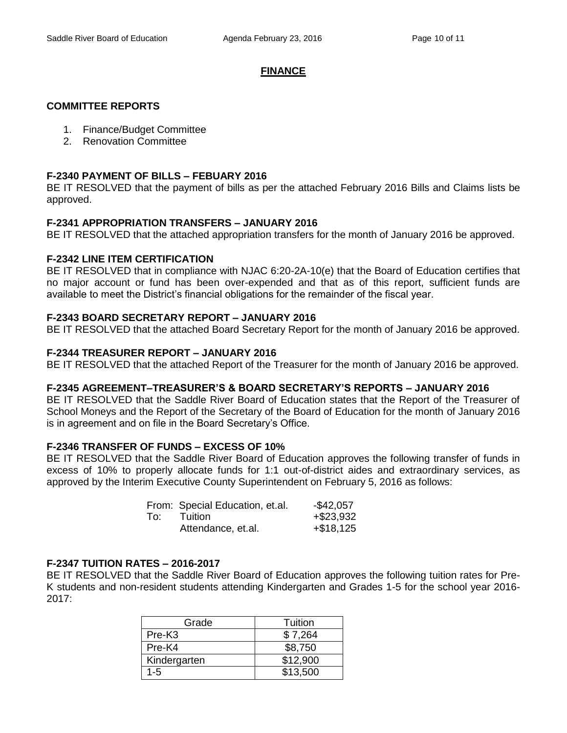### **FINANCE**

## **COMMITTEE REPORTS**

- 1. Finance/Budget Committee
- 2. Renovation Committee

### **F-2340 PAYMENT OF BILLS – FEBUARY 2016**

BE IT RESOLVED that the payment of bills as per the attached February 2016 Bills and Claims lists be approved.

#### **F-2341 APPROPRIATION TRANSFERS – JANUARY 2016**

BE IT RESOLVED that the attached appropriation transfers for the month of January 2016 be approved.

## **F-2342 LINE ITEM CERTIFICATION**

BE IT RESOLVED that in compliance with NJAC 6:20-2A-10(e) that the Board of Education certifies that no major account or fund has been over-expended and that as of this report, sufficient funds are available to meet the District's financial obligations for the remainder of the fiscal year.

## **F-2343 BOARD SECRETARY REPORT – JANUARY 2016**

BE IT RESOLVED that the attached Board Secretary Report for the month of January 2016 be approved.

## **F-2344 TREASURER REPORT – JANUARY 2016**

BE IT RESOLVED that the attached Report of the Treasurer for the month of January 2016 be approved.

#### **F-2345 AGREEMENT–TREASURER'S & BOARD SECRETARY'S REPORTS – JANUARY 2016**

BE IT RESOLVED that the Saddle River Board of Education states that the Report of the Treasurer of School Moneys and the Report of the Secretary of the Board of Education for the month of January 2016 is in agreement and on file in the Board Secretary's Office.

#### **F-2346 TRANSFER OF FUNDS – EXCESS OF 10%**

BE IT RESOLVED that the Saddle River Board of Education approves the following transfer of funds in excess of 10% to properly allocate funds for 1:1 out-of-district aides and extraordinary services, as approved by the Interim Executive County Superintendent on February 5, 2016 as follows:

|     | From: Special Education, et.al. | $-$ \$42,057 |
|-----|---------------------------------|--------------|
| To: | <b>Tuition</b>                  | $+ $23,932$  |
|     | Attendance, et.al.              | $+ $18,125$  |

#### **F-2347 TUITION RATES – 2016-2017**

BE IT RESOLVED that the Saddle River Board of Education approves the following tuition rates for Pre-K students and non-resident students attending Kindergarten and Grades 1-5 for the school year 2016- 2017:

| Grade              | Tuition  |
|--------------------|----------|
| Pre-K <sub>3</sub> | \$7,264  |
| Pre-K4             | \$8,750  |
| Kindergarten       | \$12,900 |
| $1 - 5$            | \$13,500 |